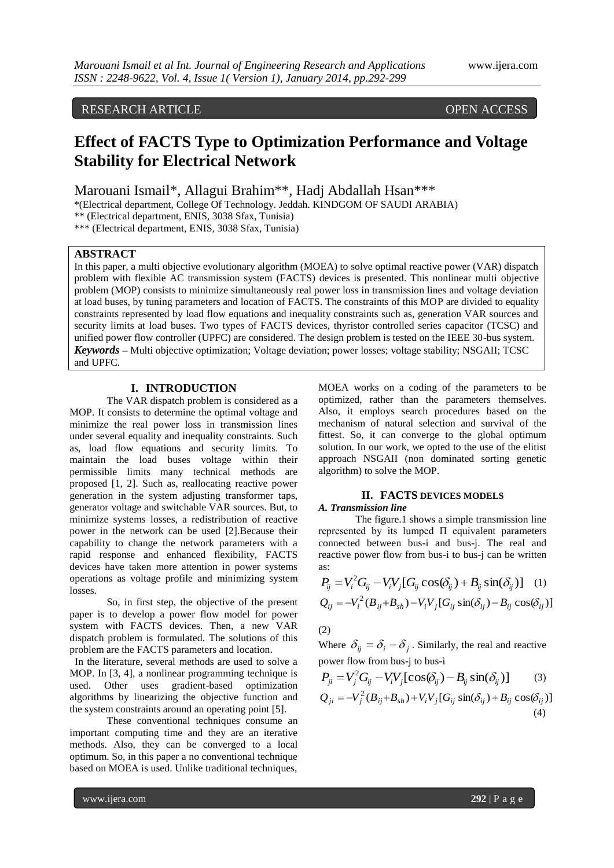# RESEARCH ARTICLE OPEN ACCESS

# **Effect of FACTS Type to Optimization Performance and Voltage Stability for Electrical Network**

Marouani Ismail\*, Allagui Brahim\*\*, Hadj Abdallah Hsan\*\*\*

\*(Electrical department, College Of Technology. Jeddah. KINDGOM OF SAUDI ARABIA)

\*\* (Electrical department, ENIS, 3038 Sfax, Tunisia)

\*\*\* (Electrical department, ENIS, 3038 Sfax, Tunisia)

### **ABSTRACT**

In this paper, a multi objective evolutionary algorithm (MOEA) to solve optimal reactive power (VAR) dispatch problem with flexible AC transmission system (FACTS) devices is presented. This nonlinear multi objective problem (MOP) consists to minimize simultaneously real power loss in transmission lines and voltage deviation at load buses, by tuning parameters and location of FACTS. The constraints of this MOP are divided to equality constraints represented by load flow equations and inequality constraints such as, generation VAR sources and security limits at load buses. Two types of FACTS devices, thyristor controlled series capacitor (TCSC) and unified power flow controller (UPFC) are considered. The design problem is tested on the IEEE 30-bus system. *Keywords* **–** Multi objective optimization; Voltage deviation; power losses; voltage stability; NSGAII; TCSC and UPFC.

### **I. INTRODUCTION**

The VAR dispatch problem is considered as a MOP. It consists to determine the optimal voltage and minimize the real power loss in transmission lines under several equality and inequality constraints. Such as, load flow equations and security limits. To maintain the load buses voltage within their permissible limits many technical methods are proposed [1, 2]. Such as, reallocating reactive power generation in the system adjusting transformer taps, generator voltage and switchable VAR sources. But, to minimize systems losses, a redistribution of reactive power in the network can be used [2].Because their capability to change the network parameters with a rapid response and enhanced flexibility, FACTS devices have taken more attention in power systems operations as voltage profile and minimizing system losses.

So, in first step, the objective of the present paper is to develop a power flow model for power system with FACTS devices. Then, a new VAR dispatch problem is formulated. The solutions of this problem are the FACTS parameters and location.

 In the literature, several methods are used to solve a MOP. In [3, 4], a nonlinear programming technique is used. Other uses gradient-based optimization algorithms by linearizing the objective function and the system constraints around an operating point [5].

These conventional techniques consume an important computing time and they are an iterative methods. Also, they can be converged to a local optimum. So, in this paper a no conventional technique based on MOEA is used. Unlike traditional techniques,

MOEA works on a coding of the parameters to be optimized, rather than the parameters themselves. Also, it employs search procedures based on the mechanism of natural selection and survival of the fittest. So, it can converge to the global optimum solution. In our work, we opted to the use of the elitist approach NSGAII (non dominated sorting genetic algorithm) to solve the MOP.

#### **II. FACTS DEVICES MODELS** *A. Transmission line*

The figure.1 shows a simple transmission line represented by its lumped Π equivalent parameters connected between bus-i and bus-j. The real and reactive power flow from bus-i to bus-j can be written as:

$$
P_{ij} = V_i^2 G_{ij} - V_i V_j [G_{ij} \cos(\delta_{ij}) + B_{ij} \sin(\delta_{ij})] \quad (1)
$$
  

$$
Q_{ij} = -V_i^2 (B_{ij} + B_{sh}) - V_i V_j [G_{ij} \sin(\delta_{ij}) - B_{ij} \cos(\delta_{ij})]
$$

(2)

Where  $\delta_{ij} = \delta_i - \delta_j$ . Similarly, the real and reactive power flow from bus-j to bus-i

$$
P_{ji} = V_j^2 G_{ij} - V_i V_j [\cos(\delta_{ij}) - B_{ij} \sin(\delta_{ij})]
$$
\n
$$
Q_{ji} = -V_j^2 (B_{ij} + B_{sh}) + V_i V_j [G_{ij} \sin(\delta_{ij}) + B_{ij} \cos(\delta_{ij})]
$$
\n
$$
(4)
$$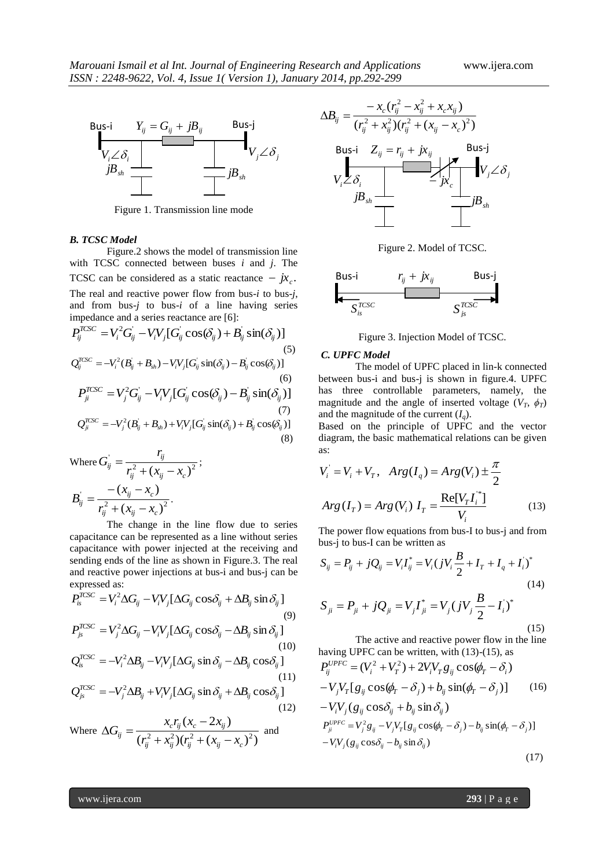

Figure 1. Transmission line mode

#### *B. TCSC Model*

Figure.2 shows the model of transmission line with TCSC connected between buses *i* and *j*. The TCSC can be considered as a static reactance  $- jx_c$ . The real and reactive power flow from bus-*i* to bus-*j*, and from bus-*j* to bus-*i* of a line having series impedance and a series reactance are [6]:

$$
P_{ij}^{TCSC} = V_i^2 G_{ij} - V_i V_j [G_{ij} \cos(\delta_{ij}) + B_{ij} \sin(\delta_{ij})]
$$
\n
$$
Q_{ij}^{TCSC} = -V_i^2 (B_{ij} + B_{sh}) - V_i V_j [G_{ij} \sin(\delta_{ij}) - B_{ij} \cos(\delta_{ij})]
$$
\n(6)

$$
P_{ji}^{TCSC} = V_j^2 G_{ij} - V_i V_j [G_{ij} \cos(\delta_{ij}) - B_{ij} \sin(\delta_{ij})]
$$
  
\n
$$
Q_{ji}^{TCSC} = -V_j^2 (B_{ij} + B_{sh}) + V_i V_j [G_{ij} \sin(\delta_{ij}) + B_{ij} \cos(\delta_{ij})]
$$
\n(7)

$$
\sum_{j} w_{ij} = \sum_{j} w_{ij} \cdot \sum_{j} w_{ij} \cdot \sum_{j} w_{ij} \cdot \sum_{j} w_{ij} \cdot \sum_{j} w_{ij} \cdot \sum_{j} w_{ij} \cdot \sum_{j} w_{ij} \cdot \sum_{j} w_{ij} \cdot \sum_{j} w_{ij} \cdot \sum_{j} w_{ij} \cdot \sum_{j} w_{ij} \cdot \sum_{j} w_{ij} \cdot \sum_{j} w_{ij} \cdot \sum_{j} w_{ij} \cdot \sum_{j} w_{ij} \cdot \sum_{j} w_{ij} \cdot \sum_{j} w_{ij} \cdot \sum_{j} w_{ij} \cdot \sum_{j} w_{ij} \cdot \sum_{j} w_{ij} \cdot \sum_{j} w_{ij} \cdot \sum_{j} w_{ij} \cdot \sum_{j} w_{ij} \cdot \sum_{j} w_{ij} \cdot \sum_{j} w_{ij} \cdot \sum_{j} w_{ij} \cdot \sum_{j} w_{ij} \cdot \sum_{j} w_{ij} \cdot \sum_{j} w_{ij} \cdot \sum_{j} w_{ij} \cdot \sum_{j} w_{ij} \cdot \sum_{j} w_{ij} \cdot \sum_{j} w_{ij} \cdot \sum_{j} w_{ij} \cdot \sum_{j} w_{ij} \cdot \sum_{j} w_{ij} \cdot \sum_{j} w_{ij} \cdot \sum_{j} w_{ij} \cdot \sum_{j} w_{ij} \cdot \sum_{j} w_{ij} \cdot \sum_{j} w_{ij} \cdot \sum_{j} w_{ij} \cdot \sum_{j} w_{ij} \cdot \sum_{j} w_{ij} \cdot \sum_{j} w_{ij} \cdot \sum_{j} w_{ij} \cdot \sum_{j} w_{ij} \cdot \sum_{j} w_{ij} \cdot \sum_{j} w_{ij} \cdot \sum_{j} w_{ij} \cdot \sum_{j} w_{ij} \cdot \sum_{j} w_{ij} \cdot \sum_{j} w_{ij} \cdot \sum_{j} w_{ij} \cdot \sum_{j} w_{ij} \cdot \sum_{j} w_{ij} \cdot \sum_{j} w_{ij} \cdot \sum_{j} w_{ij} \cdot \sum_{j} w_{ij} \cdot \sum_{j} w_{ij} \cdot \sum_{j} w_{ij} \cdot \sum_{j} w_{ij} \cdot \sum_{j} w_{ij} \cdot \sum_{j} w_{ij} \cdot \sum_{j} w_{ij} \cdot \sum_{j} w_{ij} \cdot \sum_{j} w_{ij} \cdot \sum_{j} w_{ij} \cdot \sum
$$

Where 
$$
G'_{ij} = \frac{r_{ij}}{r_{ij}^2 + (x_{ij} - x_c)^2}
$$
;  
\n
$$
B'_{ij} = \frac{-(x_{ij} - x_c)}{r_{ij}^2 + (x_{ij} - x_c)^2}.
$$

The change in the line flow due to series capacitance can be represented as a line without series capacitance with power injected at the receiving and sending ends of the line as shown in Figure.3. The real and reactive power injections at bus-i and bus-j can be expressed as:

$$
P_{is}^{TCSC} = V_i^2 \Delta G_{ij} - V_i V_j [\Delta G_{ij} \cos \delta_{ij} + \Delta B_{ij} \sin \delta_{ij}]
$$
\n
$$
P_{js}^{TCSC} = V_j^2 \Delta G_{ij} - V_i V_j [\Delta G_{ij} \cos \delta_{ij} - \Delta B_{ij} \sin \delta_{ij}]
$$
\n(10)

$$
Q_{is}^{TCSC} = -V_i^2 \Delta B_{ij} - V_i V_j [\Delta G_{ij} \sin \delta_{ij} - \Delta B_{ij} \cos \delta_{ij}]
$$
\n(11)

$$
Q_{js}^{TCSC} = -V_j^2 \Delta B_{ij} + V_i V_j [\Delta G_{ij} \sin \delta_{ij} + \Delta B_{ij} \cos \delta_{ij}]
$$
\n(12)

Where 
$$
\Delta G_{ij} = \frac{x_c r_{ij} (x_c - 2x_{ij})}{(r_{ij}^2 + x_{ij}^2)(r_{ij}^2 + (x_{ij} - x_c)^2)}
$$
 and



Figure 2. Model of TCSC.



Figure 3. Injection Model of TCSC.

#### *C. UPFC Model*

The model of UPFC placed in lin-k connected between bus-i and bus-j is shown in figure.4. UPFC has three controllable parameters, namely, the magnitude and the angle of inserted voltage  $(V_T, \phi_T)$ and the magnitude of the current  $(I_q)$ .

Based on the principle of UPFC and the vector diagram, the basic mathematical relations can be given as:

$$
V_i = V_i + V_T, \quad Arg(I_q) = Arg(V_i) \pm \frac{\pi}{2}
$$

$$
Arg(I_T) = Arg(V_i) I_T = \frac{Re[V_T I_i^{*}]}{V_i}
$$
(13)

The power flow equations from bus-I to bus-j and from bus-j to bus-I can be written as

$$
S_{ij} = P_{ij} + jQ_{ij} = V_i I_{ij}^* = V_i (jV_i \frac{B}{2} + I_T + I_q + I_i)^*
$$
\n(14)

$$
S_{ji} = P_{ji} + jQ_{ji} = V_j I_{ji}^* = V_j (jV_j \frac{B}{2} - I_i^*)^*
$$
\n(15)

The active and reactive power flow in the line having UPFC can be written, with (13)-(15), as

$$
P_{ij}^{UPFC} = (V_i^2 + V_T^2) + 2V_iV_Tg_{ij}\cos(\phi_T - \delta_i)
$$
  
\n
$$
-V_jV_T[g_{ij}\cos(\phi_T - \delta_j) + b_{ij}\sin(\phi_T - \delta_j)]
$$
 (16)  
\n
$$
-V_iV_j(g_{ij}\cos\delta_{ij} + b_{ij}\sin\delta_{ij})
$$
  
\n
$$
P_{ji}^{UPFC} = V_j^2g_{ij} - V_jV_T[g_{ij}\cos(\phi_T - \delta_j) - b_{ij}\sin(\phi_T - \delta_j)]
$$
  
\n
$$
-V_iV_j(g_{ij}\cos\delta_{ij} - b_{ij}\sin\delta_{ij})
$$

$$
(17)
$$

www.ijera.com **293** | P a g e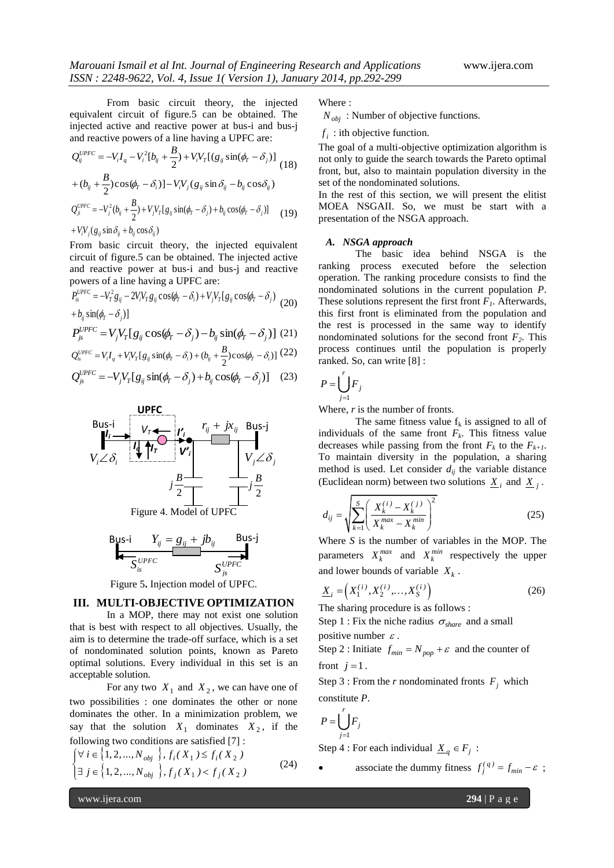From basic circuit theory, the injected equivalent circuit of figure.5 can be obtained. The injected active and reactive power at bus-i and bus-j and reactive powers of a line having a UPFC are:

$$
Q_{ij}^{UPFC} = -V_i I_q - V_i^2 [b_{ij} + \frac{B}{2}) + V_i V_T [(g_{ij} \sin(\phi_T - \delta_j)]
$$
  
+  $(b_{ij} + \frac{B}{2}) \cos(\phi_T - \delta_i)] - V_i V_j (g_{ij} \sin \delta_{ij} - b_{ij} \cos \delta_{ij})$   

$$
Q_{ji}^{UPFC} = -V_j^2 (b_{ij} + \frac{B}{2}) + V_j V_T [g_{ij} \sin(\phi_T - \delta_j) + b_{ij} \cos(\phi_T - \delta_j)]
$$
 (19)  
+  $V_i V_j (g_{ij} \sin \delta_{ij} + b_{ij} \cos \delta_{ij})$ 

From basic circuit theory, the injected equivalent circuit of figure.5 can be obtained. The injected active and reactive power at bus-i and bus-j and reactive powers of a line having a UPFC are:

$$
P_{is}^{UPFC} = -V_T^2 g_{ij} - 2V_i V_T g_{ij} \cos(\phi_T - \delta_i) + V_j V_T [g_{ij} \cos(\phi_T - \delta_j) \tag{20}
$$
  
+  $b_{ij} \sin(\phi_T - \delta_j)$ ]

$$
P_{j_s}^{UPFC} = V_j V_T [g_{ij} \cos(\phi_T - \delta_j) - b_{ij} \sin(\phi_T - \delta_j)] \tag{21}
$$

$$
Q_{is}^{UPFC} = V_i I_q + V_i V_T [g_{ij} \sin(\phi_T - \delta_i) + (b_{ij} + \frac{B}{2}) \cos(\phi_T - \delta_i)]
$$
 (22)

$$
Q_{js}^{UPFC} = -V_j V_T [g_{ij} \sin(\phi_T - \delta_j) + b_{ij} \cos(\phi_T - \delta_j)] \quad (23)
$$



$$
\mathbf{B}_{\mathbf{u}\mathbf{s}-\mathbf{i}} \qquad \qquad Y_{ij} = g_{ij} + jb_{ij} \qquad \qquad \mathbf{B}\mathbf{u}\mathbf{s}-\mathbf{j}\n\n\mathbf{S}_{is}^{UPFC} \qquad \qquad \mathbf{S}_{js}^{UPFC}
$$

Figure 5**.** Injection model of UPFC.

## **III. MULTI-OBJECTIVE OPTIMIZATION**

In a MOP, there may not exist one solution that is best with respect to all objectives. Usually, the aim is to determine the trade-off surface, which is a set of nondominated solution points, known as Pareto optimal solutions. Every individual in this set is an acceptable solution.

For any two  $X_1$  and  $X_2$ , we can have one of two possibilities : one dominates the other or none dominates the other. In a minimization problem, we say that the solution  $X_1$  dominates  $X_2$ , if the following two conditions are satisfied [7] :

$$
\begin{cases} \forall \ i \in \{1, 2, ..., N_{obj} \}, f_i(X_1) \le f_i(X_2) \\ \exists \ j \in \{1, 2, ..., N_{obj} \}, f_j(X_1) < f_j(X_2) \end{cases} \tag{24}
$$

Where :

*Nobj* : Number of objective functions.

 $f_i$ : ith objective function.

The goal of a multi-objective optimization algorithm is not only to guide the search towards the Pareto optimal front, but, also to maintain population diversity in the set of the nondominated solutions.

In the rest of this section, we will present the elitist MOEA NSGAII. So, we must be start with a presentation of the NSGA approach.

#### *A. NSGA approach*

The basic idea behind NSGA is the ranking process executed before the selection operation. The ranking procedure consists to find the nondominated solutions in the current population *P*. These solutions represent the first front  $F_I$ . Afterwards, this first front is eliminated from the population and the rest is processed in the same way to identify nondominated solutions for the second front *F2*. This process continues until the population is properly ranked. So, can write [8] :

$$
P = \bigcup_{j=1}^r F_j
$$

Where, *r* is the number of fronts.

The same fitness value  $f_k$  is assigned to all of individuals of the same front  $F_k$ . This fitness value decreases while passing from the front  $F_k$  to the  $F_{k+1}$ . To maintain diversity in the population, a sharing method is used. Let consider  $d_{ij}$  the variable distance (Euclidean norm) between two solutions  $\underline{X}_i$  and  $\underline{X}_j$ .

$$
d_{ij} = \sqrt{\sum_{k=1}^{S} \left( \frac{X_k^{(i)} - X_k^{(j)}}{X_k^{max} - X_k^{min}} \right)^2}
$$
 (25)

Where *S* is the number of variables in the MOP. The parameters  $X_k^{max}$  and  $X_k^{min}$  respectively the upper and lower bounds of variable *Xk* .

$$
\underline{X}_{i} = \left(X_{1}^{(i)}, X_{2}^{(i)}, \dots, X_{S}^{(i)}\right) \tag{26}
$$

The sharing procedure is as follows :

Step 1 : Fix the niche radius  $\sigma_{share}$  and a small positive number  $\varepsilon$ .

Step 2 : Initiate  $f_{min} = N_{pop} + \varepsilon$  and the counter of front  $j = 1$ .

Step 3 : From the *r* nondominated fronts  $F_j$  which constitute *P*.

$$
P = \bigcup_{j=1}^r F_j
$$

Step 4 : For each individual  $\underline{X}_q \in F_j$ :

• associative the dummy fitness 
$$
f_j^{(q)} = f_{min} - \varepsilon
$$
;

www.ijera.com **294** | P a g e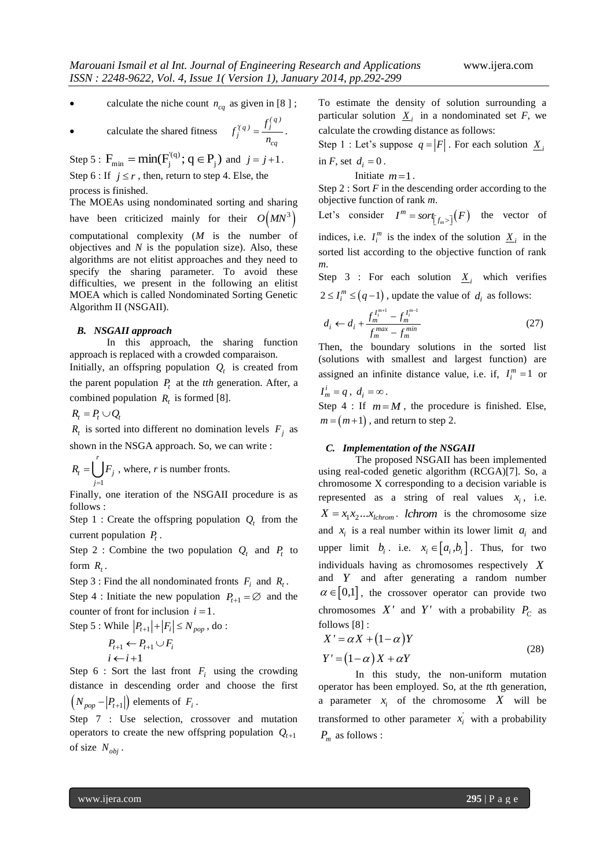- calculate the niche count  $n_{cq}$  as given in [8];
- calculate the shared fitness  $f_j^{(q)} = \frac{f_j^{(q)}}{n_{cq}}$ *f*  $f_j^{(q)} = \frac{f_j}{n_{cq}}$ .

Step 5 :  $F_{\min} = \min(F_j^{\{q\}}; q \in P_j)$  and  $j = j+1$ . Step  $6$ : If  $j \leq r$ , then, return to step 4. Else, the process is finished.

The MOEAs using nondominated sorting and sharing have been criticized mainly for their  $O(MN^3)$ computational complexity (*M* is the number of objectives and *N* is the population size). Also, these algorithms are not elitist approaches and they need to specify the sharing parameter. To avoid these difficulties, we present in the following an elitist MOEA which is called Nondominated Sorting Genetic Algorithm II (NSGAII).

#### *B. NSGAII approach*

In this approach, the sharing function approach is replaced with a crowded comparaison. Initially, an offspring population  $Q_t$  is created from the parent population  $P_t$  at the *tth* generation. After, a combined population  $R_t$  is formed [8].

$$
R_t = P_t \cup Q_t
$$

 $R_t$  is sorted into different no domination levels  $F_j$  as shown in the NSGA approach. So, we can write :

1 *r*  $R_t = \bigcup F_j$ , where, *r* is number fronts. *j* =

Finally, one iteration of the NSGAII procedure is as follows :

Step 1 : Create the offspring population  $Q_t$  from the current population  $P_t$ .

Step 2 : Combine the two population  $Q_t$  and  $P_t$  to form  $R_t$ .

Step 3 : Find the all nondominated fronts  $F_i$  and  $R_t$ .

Step 4 : Initiate the new population  $P_{t+1} = \emptyset$  and the counter of front for inclusion  $i = 1$ .

Step 5 : While  $|P_{t+1}| + |F_i| \le N_{pop}$ , do :

$$
P_{t+1} \leftarrow P_{t+1} \cup F_i
$$
  

$$
i \leftarrow i+1
$$

Step 6 : Sort the last front  $F_i$  using the crowding distance in descending order and choose the first  $\left(N_{pop} - P_{t+1}\right]$  elements of  $F_i$ .

Step 7 : Use selection, crossover and mutation operators to create the new offspring population  $Q_{t+1}$ of size *Nobj* .

To estimate the density of solution surrounding a particular solution  $\underline{X}_i$  in a nondominated set *F*, we calculate the crowding distance as follows:

Step 1 : Let's suppose  $q = |F|$ . For each solution  $\underline{X}_i$ in *F*, set  $d_i = 0$ .

Initiate  $m=1$ .

Step 2 : Sort *F* in the descending order according to the objective function of rank *m*.

Let's consider  $I^m = sort_{[f_m > ]}(F)$ *m*  $I^m = sort_{[f_m >]}(F)$  the vector of

indices, i.e.  $I_i^m$  is the index of the solution  $\underline{X}_i$  in the sorted list according to the objective function of rank *m*.

Step 3 : For each solution  $\underline{X}_i$  which verifies  $2 \le I_i^m \le (q-1)$ , update the value of  $d_i$  as follows:

$$
d_i \leftarrow d_i + \frac{f_i^{m+1}}{f_m^{max} - f_m^{min}} \tag{27}
$$

Then, the boundary solutions in the sorted list (solutions with smallest and largest function) are assigned an infinite distance value, i.e. if,  $I_i^m = 1$  or

 $I_m^i = q$ ,  $d_i = \infty$ .

Step 4 : If  $m=M$ , the procedure is finished. Else,  $m = (m+1)$  , and return to step 2.

#### *C. Implementation of the NSGAII*

The proposed NSGAII has been implemented using real-coded genetic algorithm (RCGA)[7]. So, a chromosome X corresponding to a decision variable is represented as a string of real values  $x_i$ , i.e.  $X = x_1 x_2 ... x_{lchrom}$ . *lchrom* is the chromosome size and  $x_i$  is a real number within its lower limit  $a_i$  and upper limit  $b_i$ . i.e.  $x_i \in [a_i, b_i]$ . Thus, for two individuals having as chromosomes respectively *X* and *Y* and after generating a random number  $\alpha \in [0,1]$ , the crossover operator can provide two chromosomes  $X'$  and  $Y'$  with a probability  $P_C$  as follows [8] :

$$
X' = \alpha X + (1 - \alpha)Y
$$
  
\n
$$
Y' = (1 - \alpha)X + \alpha Y
$$
\n(28)

In this study, the non-uniform mutation operator has been employed. So, at the *t*th generation, a parameter  $x_i$  of the chromosome  $X$  will be transformed to other parameter  $x_i$ <sup>'</sup> with a probability *Pm* as follows :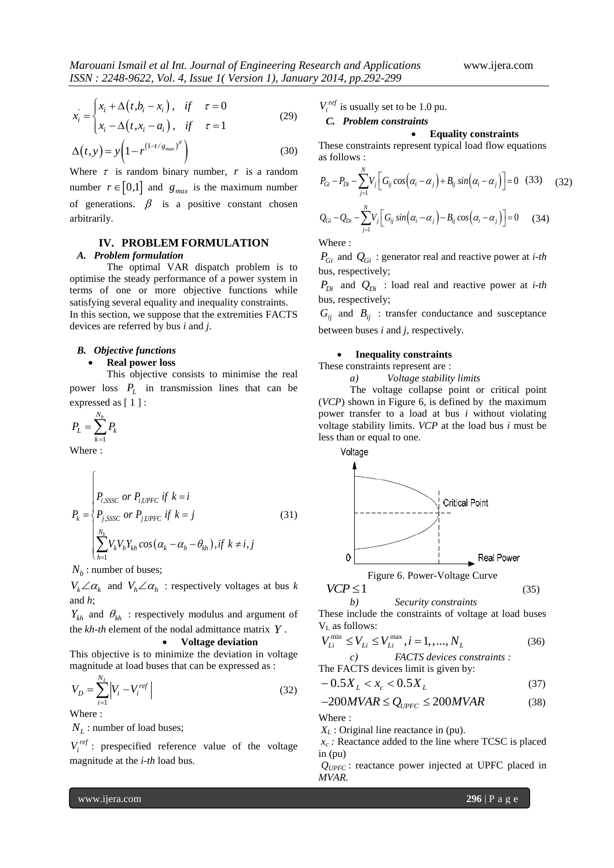$$
x_i = \begin{cases} x_i + \Delta(t, b_i - x_i), & \text{if } \tau = 0\\ x_i - \Delta(t, x_i - a_i), & \text{if } \tau = 1 \end{cases} \tag{29}
$$

$$
\Delta(t, y) = y \left( 1 - r^{\left( 1 - t/g_{max} \right)^{\beta}} \right)
$$
\n(30)

Where  $\tau$  is random binary number,  $r$  is a random number  $r \in [0,1]$  and  $g_{max}$  is the maximum number of generations.  $\beta$  is a positive constant chosen arbitrarily.

### **IV. PROBLEM FORMULATION** *A. Problem formulation*

The optimal VAR dispatch problem is to optimise the steady performance of a power system in terms of one or more objective functions while satisfying several equality and inequality constraints. In this section, we suppose that the extremities FACTS devices are referred by bus *i* and *j*.

#### *B. Objective functions*

#### **Real power loss**

This objective consists to minimise the real power loss *PL* in transmission lines that can be expressed as [1]:

$$
P_L = \sum_{k=1}^{N_b} P_k
$$

 $\sqrt{ }$ 

Where :

$$
P_{k} = \begin{cases} P_{i,SSSC} & \text{or } P_{i,UPFC} & \text{if } k = i \\ P_{j,SSSC} & \text{or } P_{j,UPFC} & \text{if } k = j \\ \sum_{h=1}^{N_{b}} V_{k} V_{h} Y_{kh} & \text{cos}(\alpha_{k} - \alpha_{h} - \theta_{kh}), \text{if } k \neq i, j \end{cases}
$$
(31)

 $N_b$ : number of buses;

 $V_k \angle \alpha_k$  and  $V_h \angle \alpha_h$ : respectively voltages at bus *k* and *h*;

 $Y_{kh}$  and  $\theta_{kh}$ : respectively modulus and argument of the *kh-th* element of the nodal admittance matrix *Y* .

#### **Voltage deviation**

This objective is to minimize the deviation in voltage magnitude at load buses that can be expressed as :

$$
V_D = \sum_{i=1}^{N_L} \left| V_i - V_i^{ref} \right| \tag{32}
$$

Where :

*NL* : number of load buses;

 $V_i^{ref}$ : prespecified reference value of the voltage magnitude at the *i-th* load bus.

 $V_i^{ref}$  is usually set to be 1.0 pu.

*C. Problem constraints*

### **Equality constraints**

These constraints represent typical load flow equations as follows :

as follows :  
\n
$$
P_{Gi} - P_{Di} - \sum_{j=1}^{N} V_j \Big[ G_{ij} \cos(\alpha_i - \alpha_j) + B_{ij} \sin(\alpha_i - \alpha_j) \Big] = 0 \quad (33)
$$
\n
$$
Q_{Gi} - Q_{Di} - \sum_{j=1}^{N} V_j \Big[ G_{ij} \sin(\alpha_i - \alpha_j) - B_{ij} \cos(\alpha_i - \alpha_j) \Big] = 0 \quad (34)
$$

Where :

*PGi* and *QGi* : generator real and reactive power at *i-th* bus, respectively;

 $P_{Di}$  and  $Q_{Di}$  : load real and reactive power at *i-th* bus, respectively;

 $G_{ij}$  and  $B_{ij}$  : transfer conductance and susceptance between buses *i* and *j*, respectively.

### **Inequality constraints**

These constraints represent are :

*a) Voltage stability limits*

The voltage collapse point or critical point (*VCP*) shown in Figure 6, is defined by the maximum power transfer to a load at bus *i* without violating voltage stability limits. *VCP* at the load bus *i* must be less than or equal to one.



$$
VCP \le 1\tag{35}
$$

*b) Security constraints* 

These include the constraints of voltage at load buses V<sub>L</sub> as follows:

$$
V_{Li}^{\text{min}} \le V_{Li} \le V_{Li}^{\text{max}}, i = 1, ..., N_L
$$
 (36)

*c) FACTS devices constraints :* The FACTS devices limit is given by:

$$
-0.5X_L < x_c < 0.5X_L \tag{37}
$$

$$
-0.5X_L < X_c < 0.5X_L
$$
\n
$$
-200MVAR \le Q_{UPFC} \le 200MVAR
$$
\n(38)

Where :

*X<sup>L</sup>* : Original line reactance in (pu).

 $x_c$ : Reactance added to the line where TCSC is placed in (pu)

*QUPFC* : reactance power injected at UPFC placed in *MVAR.*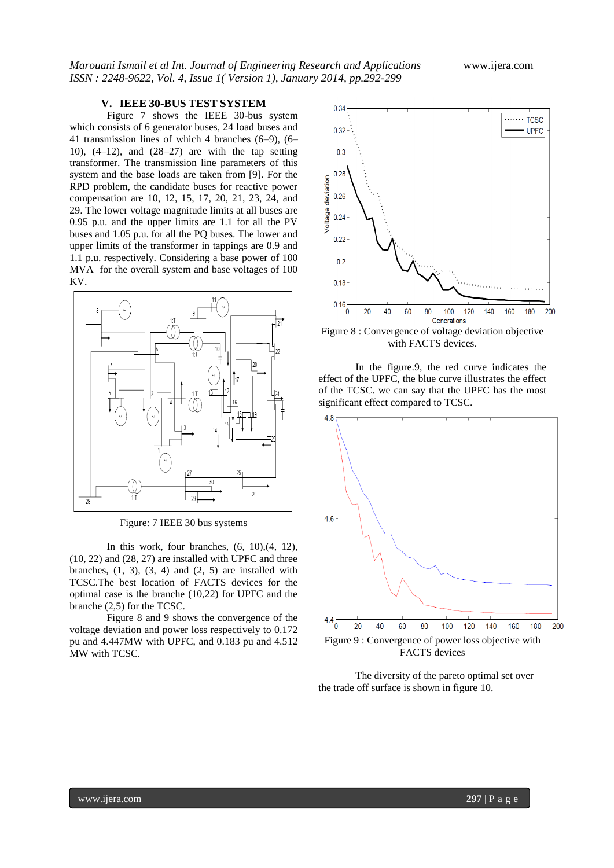#### **V. IEEE 30-BUS TEST SYSTEM**

Figure 7 shows the IEEE 30-bus system which consists of 6 generator buses, 24 load buses and 41 transmission lines of which 4 branches (6–9), (6– 10), (4–12), and (28–27) are with the tap setting transformer. The transmission line parameters of this system and the base loads are taken from [9]. For the RPD problem, the candidate buses for reactive power compensation are 10, 12, 15, 17, 20, 21, 23, 24, and 29. The lower voltage magnitude limits at all buses are 0.95 p.u. and the upper limits are 1.1 for all the PV buses and 1.05 p.u. for all the PQ buses. The lower and upper limits of the transformer in tappings are 0.9 and 1.1 p.u. respectively. Considering a base power of 100 MVA for the overall system and base voltages of 100 KV.



Figure: 7 IEEE 30 bus systems

In this work, four branches,  $(6, 10)$ , $(4, 12)$ , (10, 22) and (28, 27) are installed with UPFC and three branches,  $(1, 3)$ ,  $(3, 4)$  and  $(2, 5)$  are installed with TCSC.The best location of FACTS devices for the optimal case is the branche (10,22) for UPFC and the branche (2,5) for the TCSC.

Figure 8 and 9 shows the convergence of the voltage deviation and power loss respectively to 0.172 pu and 4.447MW with UPFC, and 0.183 pu and 4.512 MW with TCSC.



Figure 8 : Convergence of voltage deviation objective with FACTS devices.

In the figure.9, the red curve indicates the effect of the UPFC, the blue curve illustrates the effect of the TCSC. we can say that the UPFC has the most significant effect compared to TCSC.



The diversity of the pareto optimal set over the trade off surface is shown in figure 10.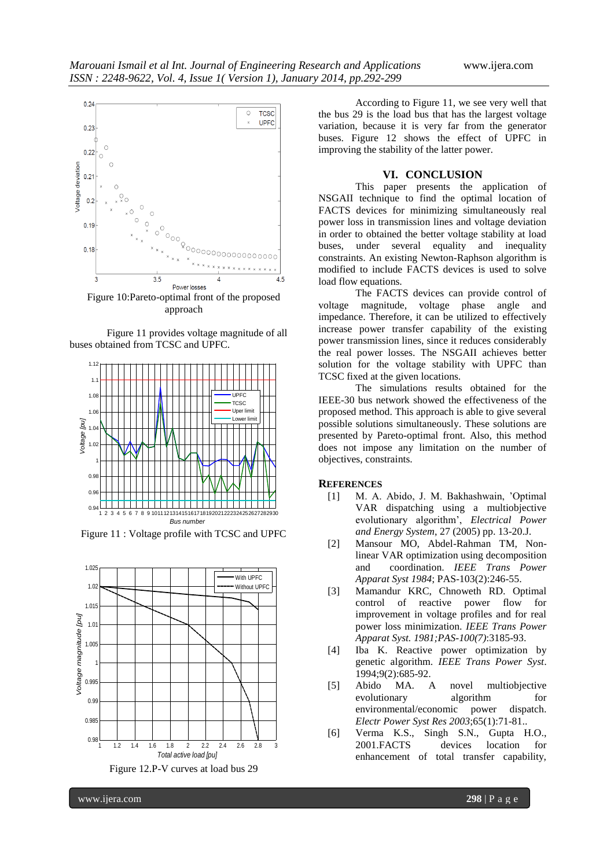

Figure 11 provides voltage magnitude of all buses obtained from TCSC and UPFC.



Figure 11 : Voltage profile with TCSC and UPFC



Figure 12.P-V curves at load bus 29

According to Figure 11, we see very well that the bus 29 is the load bus that has the largest voltage variation, because it is very far from the generator buses. Figure 12 shows the effect of UPFC in improving the stability of the latter power.

#### **VI. CONCLUSION**

This paper presents the application of NSGAII technique to find the optimal location of FACTS devices for minimizing simultaneously real power loss in transmission lines and voltage deviation in order to obtained the better voltage stability at load buses, under several equality and inequality constraints. An existing Newton-Raphson algorithm is modified to include FACTS devices is used to solve load flow equations.

The FACTS devices can provide control of voltage magnitude, voltage phase angle and impedance. Therefore, it can be utilized to effectively increase power transfer capability of the existing power transmission lines, since it reduces considerably the real power losses. The NSGAII achieves better solution for the voltage stability with UPFC than TCSC fixed at the given locations.

The simulations results obtained for the IEEE-30 bus network showed the effectiveness of the proposed method. This approach is able to give several possible solutions simultaneously. These solutions are presented by Pareto-optimal front. Also, this method does not impose any limitation on the number of objectives, constraints.

#### **REFERENCES**

- [1] M. A. Abido, J. M. Bakhashwain, 'Optimal VAR dispatching using a multiobjective evolutionary algorithm', *Electrical Power and Energy System*, 27 (2005) pp. 13-20.J.
- [2] Mansour MO, Abdel-Rahman TM, Nonlinear VAR optimization using decomposition and coordination. *IEEE Trans Power Apparat Syst 1984*; PAS-103(2):246-55.
- [3] Mamandur KRC, Chnoweth RD. Optimal control of reactive power flow for improvement in voltage profiles and for real power loss minimization. *IEEE Trans Power Apparat Syst. 1981;PAS-100(7)*:3185-93.
- [4] Iba K. Reactive power optimization by genetic algorithm. *IEEE Trans Power Syst*. 1994;9(2):685-92.
- [5] Abido MA. A novel multiobjective evolutionary algorithm for environmental/economic power dispatch. *Electr Power Syst Res 2003*;65(1):71-81..
- [6] Verma K.S., Singh S.N., Gupta H.O., 2001.FACTS devices location for enhancement of total transfer capability,

www.ijera.com **298** | P a g e